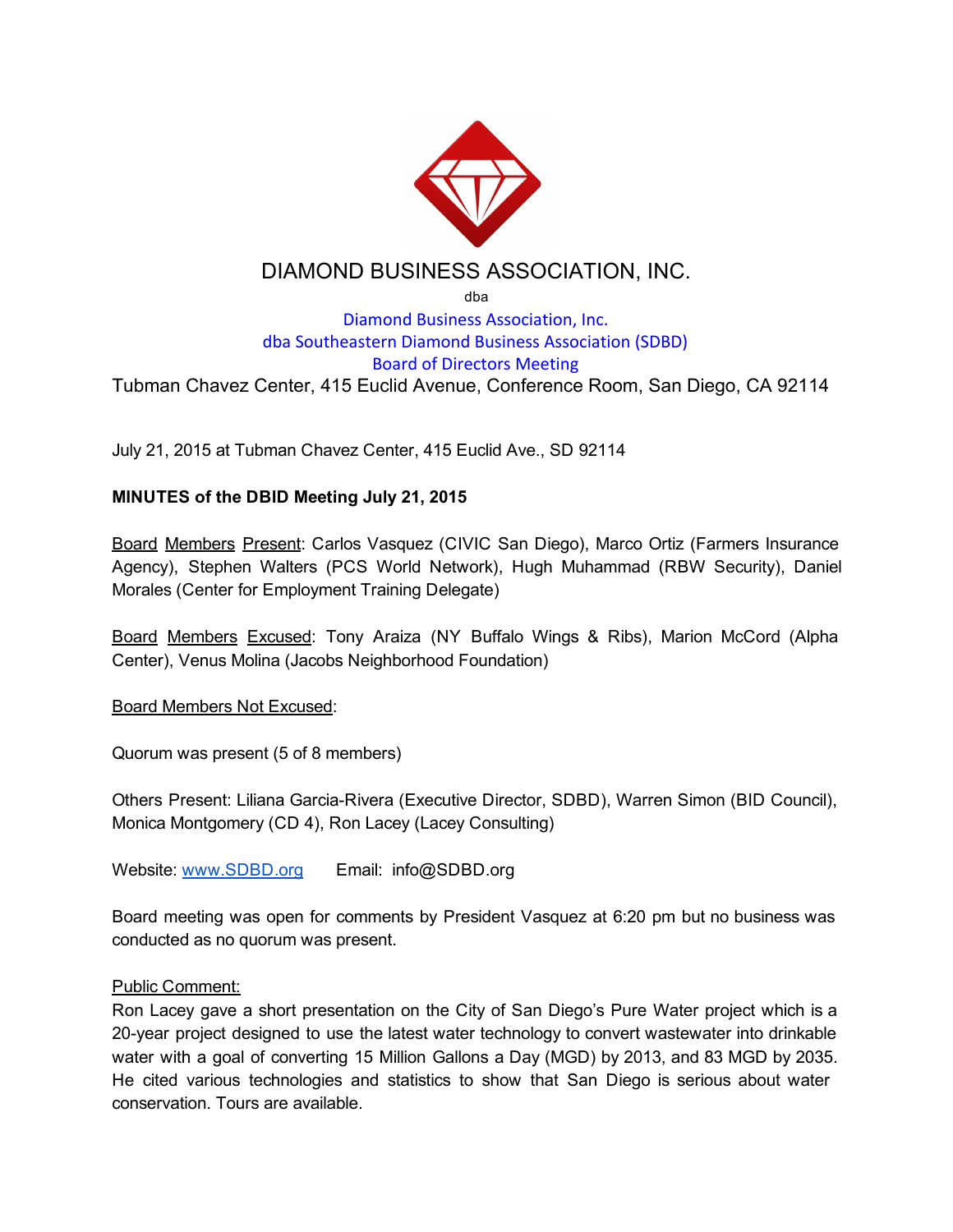

# DIAMOND BUSINESS ASSOCIATION, INC.

dba

## Diamond Business Association, Inc. dba Southeastern Diamond Business Association (SDBD) Board of Directors Meeting Tubman Chavez Center, 415 Euclid Avenue, Conference Room, San Diego, CA 92114

July 21, 2015 at Tubman Chavez Center, 415 Euclid Ave., SD 92114

### MINUTES of the DBID Meeting July 21, 2015

Board Members Present: Carlos Vasquez (CIVIC San Diego), Marco Ortiz (Farmers Insurance Agency), Stephen Walters (PCS World Network), Hugh Muhammad (RBW Security), Daniel Morales (Center for Employment Training Delegate)

Board Members Excused: Tony Araiza (NY Buffalo Wings & Ribs), Marion McCord (Alpha Center), Venus Molina (Jacobs Neighborhood Foundation)

Board Members Not Excused:

Quorum was present (5 of 8 members)

Others Present: Liliana Garcia-Rivera (Executive Director, SDBD), Warren Simon (BID Council), Monica Montgomery (CD 4), Ron Lacey (Lacey Consulting)

Website[:](http://www.sdbd.org/) [www.SDBD.org](http://www.sdbd.org/) Email: info@SDBD.org

Board meeting was open for comments by President Vasquez at 6:20 pm but no business was conducted as no quorum was present.

#### Public Comment:

Ron Lacey gave a short presentation on the City of San Diego's Pure Water project which is a 20year project designed to use the latest water technology to convert wastewater into drinkable water with a goal of converting 15 Million Gallons a Day (MGD) by 2013, and 83 MGD by 2035. He cited various technologies and statistics to show that San Diego is serious about water conservation. Tours are available.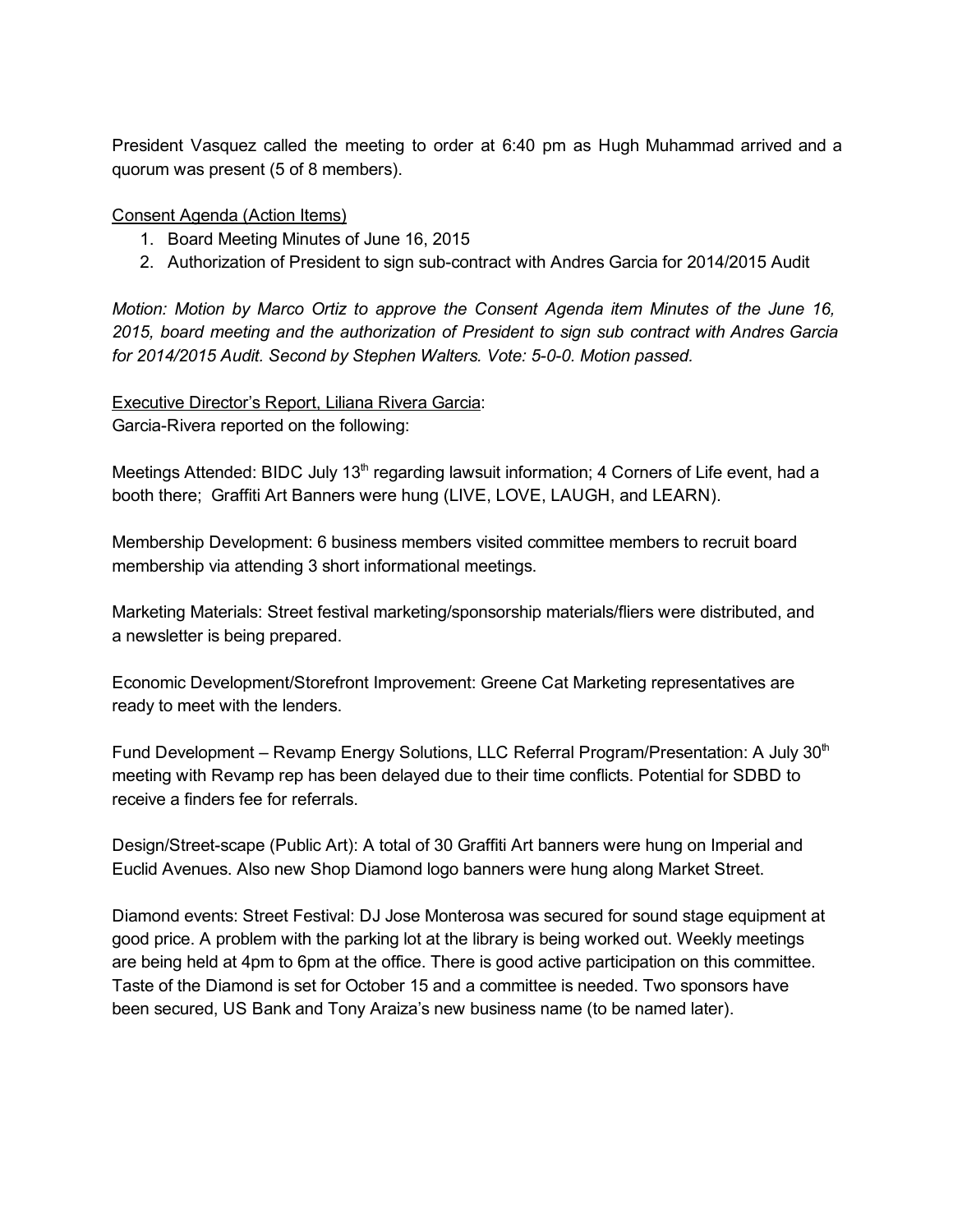President Vasquez called the meeting to order at 6:40 pm as Hugh Muhammad arrived and a quorum was present (5 of 8 members).

Consent Agenda (Action Items)

- 1. Board Meeting Minutes of June 16, 2015
- 2. Authorization of President to sign sub-contract with Andres Garcia for 2014/2015 Audit

*Motion: Motion by Marco Ortiz to approve the Consent Agenda item Minutes of the June 16, 2015, board meeting and the authorization of President to sign sub contract with Andres Garcia for 2014/2015 Audit. Second by Stephen Walters. Vote: 500. Motion passed.*

Executive Director's Report, Liliana Rivera Garcia: Garcia-Rivera reported on the following:

Meetings Attended: BIDC July 13<sup>th</sup> regarding lawsuit information; 4 Corners of Life event, had a booth there; Graffiti Art Banners were hung (LIVE, LOVE, LAUGH, and LEARN).

Membership Development: 6 business members visited committee members to recruit board membership via attending 3 short informational meetings.

Marketing Materials: Street festival marketing/sponsorship materials/fliers were distributed, and a newsletter is being prepared.

Economic Development/Storefront Improvement: Greene Cat Marketing representatives are ready to meet with the lenders.

Fund Development - Revamp Energy Solutions, LLC Referral Program/Presentation: A July 30<sup>th</sup> meeting with Revamp rep has been delayed due to their time conflicts. Potential for SDBD to receive a finders fee for referrals.

Design/Street-scape (Public Art): A total of 30 Graffiti Art banners were hung on Imperial and Euclid Avenues. Also new Shop Diamond logo banners were hung along Market Street.

Diamond events: Street Festival: DJ Jose Monterosa was secured for sound stage equipment at good price. A problem with the parking lot at the library is being worked out. Weekly meetings are being held at 4pm to 6pm at the office. There is good active participation on this committee. Taste of the Diamond is set for October 15 and a committee is needed. Two sponsors have been secured, US Bank and Tony Araiza's new business name (to be named later).